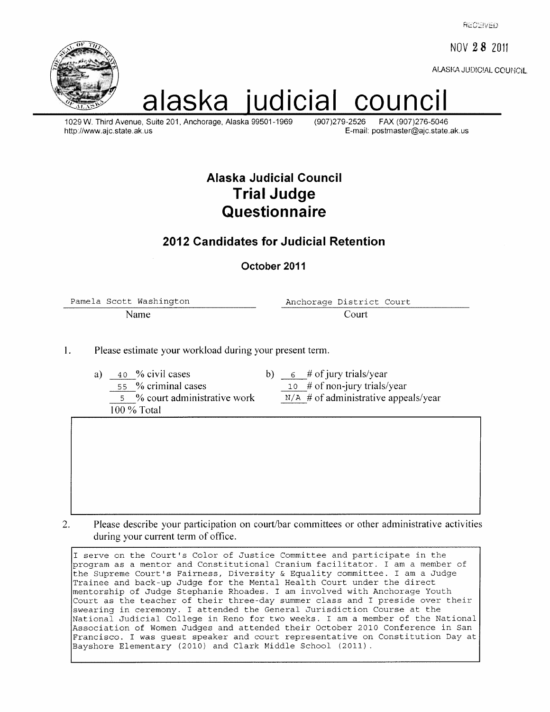**RECEIVED** 

NOV 28 2011

ALASKA JUDICIAL COUNICIL



# alaska judicial cound

1029 W. Third Avenue, Suite 201, Anchorage, Alaska 99501-1969 http://www.ajc.state.ak.us

(907)279-2526 FAX (907)276-5046 E-mail: postmaster@ajc.state.ak.us

## Alaska Judicial Council **Trial Judge** Questionnaire

## 2012 Candidates for Judicial Retention

October 2011

Pamela Scott Washington Name

Anchorage District Court Court

1. Please estimate your workload during your present term.

- 40 % civil cases a) 55 % criminal cases 5 % court administrative work 100 % Total
- b)  $\frac{6}{10}$  # of jury trials/year
	- 10 # of non-jury trials/year
	- $N/A$  # of administrative appeals/year

 $\overline{2}$ . Please describe your participation on court/bar committees or other administrative activities during your current term of office.

I serve on the Court's Color of Justice Committee and participate in the program as a mentor and Constitutional Cranium facilitator. I am a member of the Supreme Court's Fairness, Diversity & Equality committee. I am a Judge Trainee and back-up Judge for the Mental Health Court under the direct mentorship of Judge Stephanie Rhoades. I am involved with Anchorage Youth Court as the teacher of their three-day summer class and I preside over their swearing in ceremony. I attended the General Jurisdiction Course at the National Judicial College in Reno for two weeks. I am a member of the National Association of Women Judges and attended their October 2010 Conference in San Francisco. I was guest speaker and court representative on Constitution Day at Bayshore Elementary (2010) and Clark Middle School (2011).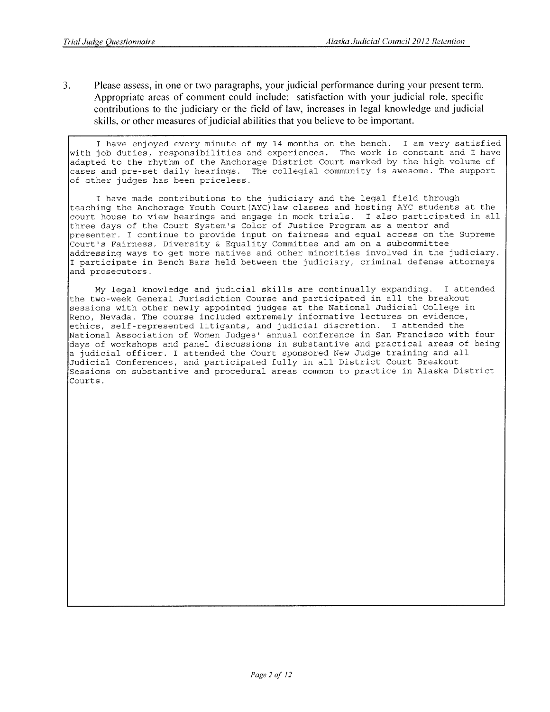$3.$ Please assess, in one or two paragraphs, your judicial performance during your present term. Appropriate areas of comment could include: satisfaction with your judicial role, specific contributions to the judiciary or the field of law, increases in legal knowledge and judicial skills, or other measures of judicial abilities that you believe to be important.

I have enjoyed every minute of my 14 months on the bench. I am very satisfied with job duties, responsibilities and experiences. The work is constant and I have adapted to the rhythm of the Anchorage District Court marked by the high volume of cases and pre-set daily hearings. The collegial community is awesome. The support of other judges has been priceless.

I have made contributions to the judiciary and the legal field through teaching the Anchorage Youth Court (AYC) law classes and hosting AYC students at the court house to view hearings and engage in mock trials. I also participated in all three days of the Court System's Color of Justice Program as a mentor and presenter. I continue to provide input on fairness and equal access on the Supreme Court's Fairness, Diversity & Equality Committee and am on a subcommittee addressing ways to get more natives and other minorities involved in the judiciary. I participate in Bench Bars held between the judiciary, criminal defense attorneys and prosecutors.

My legal knowledge and judicial skills are continually expanding. I attended the two-week General Jurisdiction Course and participated in all the breakout sessions with other newly appointed judges at the National Judicial College in Reno, Nevada. The course included extremely informative lectures on evidence, ethics, self-represented litigants, and judicial discretion. I attended the National Association of Women Judges' annual conference in San Francisco with four days of workshops and panel discussions in substantive and practical areas of being a judicial officer. I attended the Court sponsored New Judge training and all Judicial Conferences, and participated fully in all District Court Breakout Sessions on substantive and procedural areas common to practice in Alaska District Courts.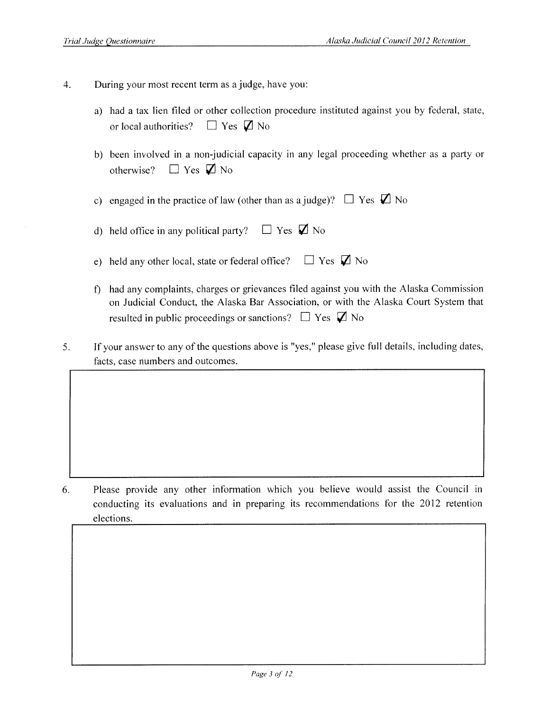- $\overline{4}$ . During your most recent term as a judge, have you:
	- a) had a tax lien filed or other collection procedure instituted against you by federal, state, or local authorities?  $\Box$  Yes  $\Box$  No
	- b) been involved in a non-judicial capacity in any legal proceeding whether as a party or otherwise?  $\Box$  Yes  $\Box$  No

c) engaged in the practice of law (other than as a judge)?  $\Box$  Yes  $\Box$  No

- $\Box$  Yes  $\Box$  No d) held office in any political party?
- $\Box$  Yes  $\Box$  No e) held any other local, state or federal office?
- f) had any complaints, charges or grievances filed against you with the Alaska Commission on Judicial Conduct, the Alaska Bar Association, or with the Alaska Court System that resulted in public proceedings or sanctions?  $\Box$  Yes  $\Box$  No
- $5<sub>1</sub>$ If your answer to any of the questions above is "yes," please give full details, including dates, facts, case numbers and outcomes.

6. Please provide any other information which you believe would assist the Council in conducting its evaluations and in preparing its recommendations for the 2012 retention elections.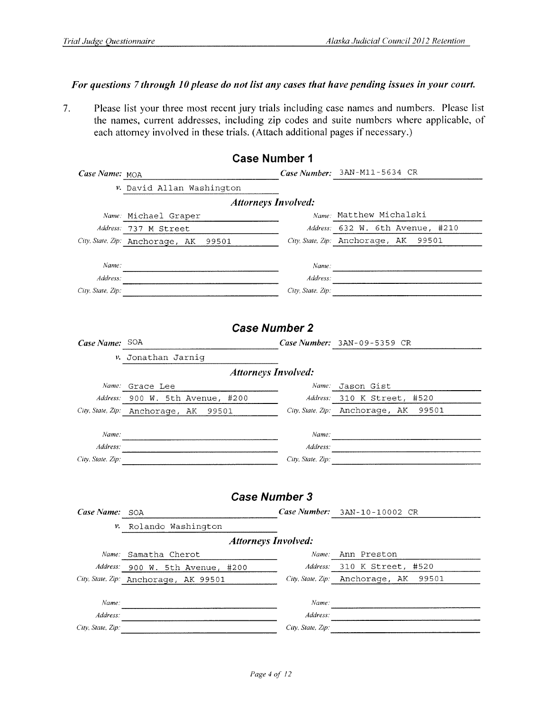#### For questions 7 through 10 please do not list any cases that have pending issues in your court.

 $7.$ Please list your three most recent jury trials including case names and numbers. Please list the names, current addresses, including zip codes and suite numbers where applicable, of each attorney involved in these trials. (Attach additional pages if necessary.)

|                   |                                                                      | <b>Case Number 1</b>       |                                         |  |  |  |
|-------------------|----------------------------------------------------------------------|----------------------------|-----------------------------------------|--|--|--|
| Case Name: MOA    |                                                                      |                            | Case Number: 3AN-M11-5634 CR            |  |  |  |
|                   | v. David Allan Washington                                            |                            |                                         |  |  |  |
|                   |                                                                      | <b>Attorneys Involved:</b> |                                         |  |  |  |
|                   | Name: Michael Graper<br>the control of the control of the control of |                            | Name: Matthew Michalski                 |  |  |  |
|                   | Address: 737 M Street                                                |                            | Address: 632 W. 6th Avenue, #210        |  |  |  |
|                   | City, State, Zip: Anchorage, AK 99501                                |                            | City State, Zip: Anchorage, AK<br>99501 |  |  |  |
| Name.             |                                                                      |                            |                                         |  |  |  |
| Address:          |                                                                      |                            | Name:                                   |  |  |  |
| City, State, Zip: |                                                                      |                            | Address:                                |  |  |  |
|                   |                                                                      |                            | City, State. Zip:                       |  |  |  |
|                   |                                                                      |                            |                                         |  |  |  |
|                   |                                                                      | <b>Case Number 2</b>       |                                         |  |  |  |
| Case Name: SOA    |                                                                      |                            | Case Number: $3AN-09-5359$ CR           |  |  |  |
|                   | v. Jonathan Jarnig                                                   |                            |                                         |  |  |  |
|                   |                                                                      | <b>Attorneys Involved:</b> |                                         |  |  |  |
|                   | Name: Grace Lee                                                      |                            | Name: Jason Gist                        |  |  |  |
| Address:          | 900 W. 5th Avenue, #200                                              |                            | Address: 310 K Street, #520             |  |  |  |
|                   | City, State, Zip: Anchorage, AK 99501                                |                            | City, State, Zip: Anchorage, AK 99501   |  |  |  |
|                   |                                                                      |                            |                                         |  |  |  |
| Name:             |                                                                      |                            |                                         |  |  |  |
| Address:          |                                                                      |                            |                                         |  |  |  |
| City, State, Zip: |                                                                      |                            | City, State, Zip:                       |  |  |  |
|                   |                                                                      |                            |                                         |  |  |  |
|                   |                                                                      | <b>Case Number 3</b>       |                                         |  |  |  |
| Case Name: SOA    |                                                                      |                            | Case Number: 3AN-10-10002 CR            |  |  |  |
|                   |                                                                      |                            |                                         |  |  |  |
| ν.                | Rolando Washington                                                   |                            |                                         |  |  |  |
|                   |                                                                      | <b>Attorneys Involved:</b> |                                         |  |  |  |
|                   | Name: Samatha Cherot                                                 | Name.                      | Ann Preston                             |  |  |  |
| Address:          | 900 W. 5th Avenue, #200                                              | Address:                   | 310 K Street,<br>#520                   |  |  |  |
| City, State, Zip: | Anchorage, AK 99501                                                  | City, State, Zip:          | 99501<br>Anchorage,<br>AК               |  |  |  |
| Name:             |                                                                      | Name:                      |                                         |  |  |  |
| Address:          |                                                                      | Address:                   |                                         |  |  |  |
| City, State, Zip: |                                                                      | City, State, Zip:          |                                         |  |  |  |
|                   |                                                                      |                            |                                         |  |  |  |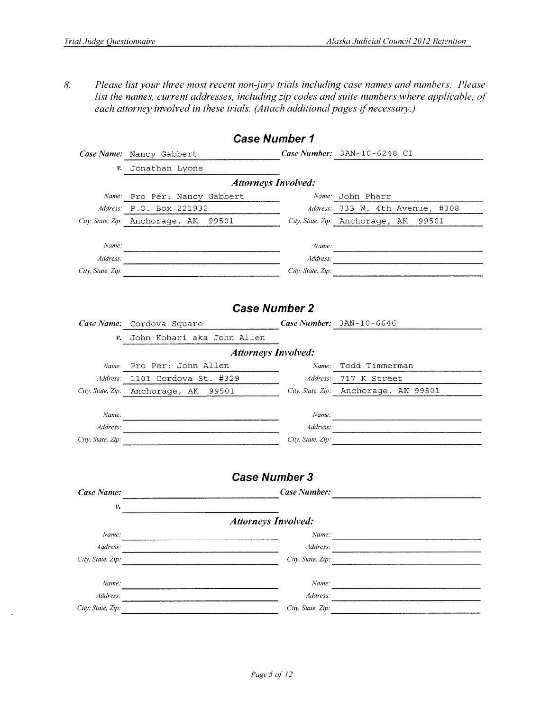Please list your three most recent non-jury trials including case names and numbers. Please  $\delta$ . list the names, current addresses, including zip codes and suite numbers where applicable, of each attorney involved in these trials. (Attach additional pages if necessary.)

|                   | <b>Case Number 1</b>                  |                     |                                       |
|-------------------|---------------------------------------|---------------------|---------------------------------------|
|                   | Case Name: Nancy Gabbert              |                     | Case Number: 3AN-10-6248 CI           |
|                   | v. Jonathan Lyons                     |                     |                                       |
|                   | <b>Attorneys Involved:</b>            |                     |                                       |
|                   | Name: Pro Per: Nancy Gabbert          |                     | Name: John Pharr                      |
|                   | Address: P.O. BOX 221932              |                     | Address: 733 W. 4th Avenue, #308      |
|                   | City. State, Zip: Anchorage, AK 99501 |                     | City, State, Zip: Anchorage, AK 99501 |
|                   |                                       |                     |                                       |
| Name:             |                                       |                     | Name:                                 |
| Address:          |                                       |                     |                                       |
| City, State, Zip: |                                       |                     | City, State, Zip:                     |
|                   |                                       |                     |                                       |
|                   |                                       |                     |                                       |
|                   | <b>Case Number 2</b>                  |                     |                                       |
|                   | Case Name: Cordova Square             |                     | Case Number: 3AN-10-6646              |
|                   | v. John Kohari aka John Allen         |                     |                                       |
|                   | <b>Attorneys Involved:</b>            |                     |                                       |
|                   | Name: Pro Per: John Allen             |                     | Name: Todd Timmerman                  |
|                   | Address: 1101 Cordova St. #329        |                     | Address: 717 K Street                 |
|                   | City, State, Zip: Anchorage, AK 99501 |                     | City, State, Zip: Anchorage, AK 99501 |
|                   |                                       |                     |                                       |
| Name:             |                                       |                     | Name:                                 |
| Address:          |                                       | Address:            |                                       |
| City, State, Zip: |                                       |                     | City, State. Zip:                     |
|                   |                                       |                     |                                       |
|                   |                                       |                     |                                       |
|                   | <b>Case Number 3</b>                  |                     |                                       |
| Case Name:        |                                       | <b>Case Number:</b> |                                       |
| ν.                |                                       |                     |                                       |
|                   | <b>Attorneys Involved:</b>            |                     |                                       |
| Name:             |                                       | Name:               |                                       |
| Address:          |                                       | Address:            |                                       |
| City. State, Zip: |                                       | City, State, Zip:   |                                       |
|                   |                                       |                     |                                       |
| Name:             |                                       | Name:               |                                       |
| Address:          |                                       | Address:            |                                       |
| City. State, Zip: |                                       | City. State, Zip:   |                                       |
|                   |                                       |                     |                                       |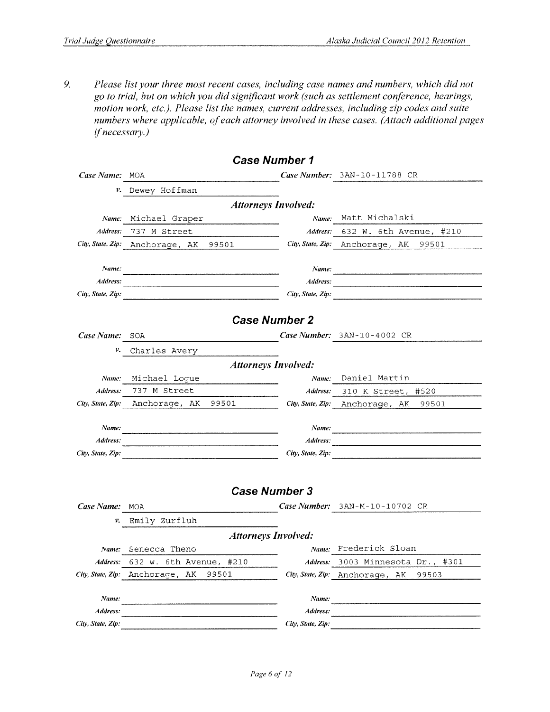9. Please list your three most recent cases, including case names and numbers, which did not go to trial, but on which you did significant work (such as settlement conference, hearings, motion work, etc.). Please list the names, current addresses, including zip codes and suite numbers where applicable, of each attorney involved in these cases. (Attach additional pages if necessary.)

 $\ddot{\phantom{a}}$ 

 $\overline{a}$ 

|                   |                                          | <i><b>Case Number 1</b></i> |                                          |
|-------------------|------------------------------------------|-----------------------------|------------------------------------------|
| Case Name: MOA    |                                          |                             | Case Number: 3AN-10-11788 CR             |
| ν.                | Dewey Hoffman                            |                             |                                          |
|                   |                                          | <b>Attorneys Involved:</b>  |                                          |
| Name:             | Michael Graper                           | Name:                       | Matt Michalski                           |
| Address:          | 737 M Street                             | Address:                    | 632 W. 6th Avenue, #210                  |
|                   | City, State, Zip: Anchorage, AK<br>99501 | City, State, Zip:           | Anchorage, AK<br>99501                   |
| Name:             |                                          | Name:                       |                                          |
| Address:          |                                          | Address:                    |                                          |
| City, State, Zip: |                                          | City, State, Zip:           |                                          |
|                   |                                          |                             |                                          |
|                   |                                          | <b>Case Number 2</b>        |                                          |
| Case Name:        | SOA                                      |                             | Case Number: $3AN-10-4002$ CR            |
| v.                | Charles Avery                            |                             |                                          |
|                   |                                          | <b>Attorneys Involved:</b>  |                                          |
| Name:             | Michael Logue                            | Name:                       | Daniel Martin                            |
| Address:          | 737 M Street                             | Address:                    | 310 K Street,<br>#520                    |
| City, State, Zip: | 99501<br>Anchorage, AK                   |                             | City, State, Zip: Anchorage, AK<br>99501 |
| Name:             |                                          | Name:                       |                                          |
| Address:          |                                          | Address:                    |                                          |
| City, State, Zip: |                                          | City, State, Zip:           |                                          |
|                   |                                          |                             |                                          |
|                   |                                          |                             |                                          |
|                   |                                          | <b>Case Number 3</b>        |                                          |
| Case Name:        | <b>MOA</b>                               |                             | Case Number: $3AN-M-10-10702$ CR         |
| ν.                | Emily Zurfluh                            |                             |                                          |
|                   |                                          | <b>Attorneys Involved:</b>  |                                          |
| Name:             | Senecca Theno                            |                             | Name: Frederick Sloan                    |
|                   | 632 w. 6th Avenue, #210                  | Address:                    | 3003 Minnesota Dr., #301                 |
|                   | 99501<br>City, State, Zip: Anchorage, AK |                             | City, State, Zip: Anchorage, AK<br>99503 |
|                   |                                          |                             |                                          |
| Name:             |                                          | Name:                       |                                          |
| Address:          |                                          | Address:                    |                                          |
| City, State, Zip: |                                          | City, State, Zip:           |                                          |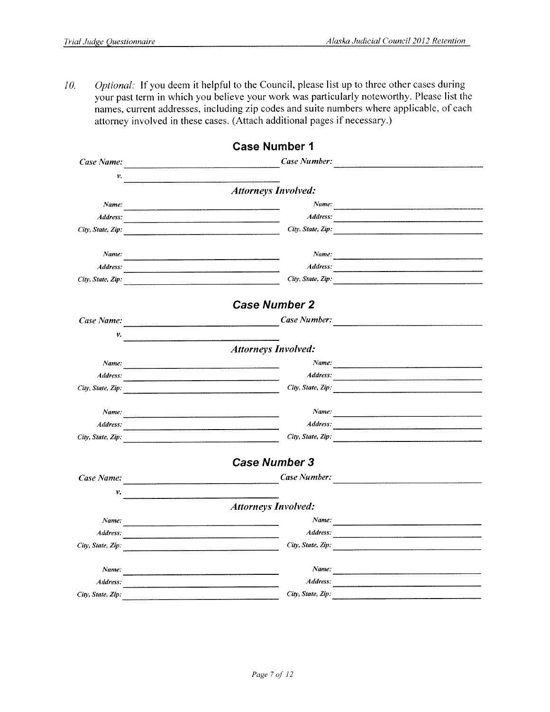Optional: If you deem it helpful to the Council, please list up to three other cases during 10. your past term in which you believe your work was particularly noteworthy. Please list the names, current addresses, including zip codes and suite numbers where applicable, of each attorney involved in these cases. (Attach additional pages if necessary.)

|                   | <b>Case Number 1</b>                                                                                                           |                                                                                                                        |
|-------------------|--------------------------------------------------------------------------------------------------------------------------------|------------------------------------------------------------------------------------------------------------------------|
| Case Name:        | Case Number:                                                                                                                   |                                                                                                                        |
| ν.                |                                                                                                                                |                                                                                                                        |
|                   | <b>Attorneys Involved:</b>                                                                                                     |                                                                                                                        |
| Name:             |                                                                                                                                |                                                                                                                        |
| Address:          |                                                                                                                                |                                                                                                                        |
| City, State, Zip: | City, State, Zip:                                                                                                              |                                                                                                                        |
| Name:             |                                                                                                                                |                                                                                                                        |
| Address:          |                                                                                                                                |                                                                                                                        |
| City, State, Zip: | City, State, Zip:                                                                                                              |                                                                                                                        |
|                   | <b>Case Number 2</b>                                                                                                           |                                                                                                                        |
| Case Name:        | Case Number:                                                                                                                   |                                                                                                                        |
| ν.                |                                                                                                                                |                                                                                                                        |
|                   | <b>Attorneys Involved:</b>                                                                                                     |                                                                                                                        |
| Name:             |                                                                                                                                | Name:                                                                                                                  |
| Address:          | Address:<br><u> 1980 - Jan Samman, mars et al. 1980 - Anna Amerikaanse kommunister (</u>                                       |                                                                                                                        |
| City, State, Zip: | City, State, Zip:                                                                                                              |                                                                                                                        |
| Name:             | Name:                                                                                                                          |                                                                                                                        |
| Address:          | Address:                                                                                                                       |                                                                                                                        |
| City, State, Zip: | City, State, Zip:                                                                                                              |                                                                                                                        |
|                   | <b>Case Number 3</b>                                                                                                           |                                                                                                                        |
| Case Name:        | Case Number:                                                                                                                   |                                                                                                                        |
| ν.                |                                                                                                                                |                                                                                                                        |
|                   | <b>Attorneys Involved:</b>                                                                                                     |                                                                                                                        |
| Name:             |                                                                                                                                |                                                                                                                        |
| Address:          | <u> 1980 - Andrea Stadt Barbon, Amerikaansk politiker (</u>                                                                    |                                                                                                                        |
| City, State, Zip: | City, State, Zip:                                                                                                              |                                                                                                                        |
|                   |                                                                                                                                |                                                                                                                        |
| Name:             | Name:<br><u> 1980 - Andrea Andrea Andrea Andrea Andrea Andrea Andrea Andrea Andrea Andrea Andrea Andrea Andrea Andrea Andr</u> | <u> 1980 - Januar James, politik fizikar eta industrial eta industrial eta industrial eta industrial eta industria</u> |
| Address:          | Address:                                                                                                                       |                                                                                                                        |
| City, State, Zip: | City, State, Zip:                                                                                                              |                                                                                                                        |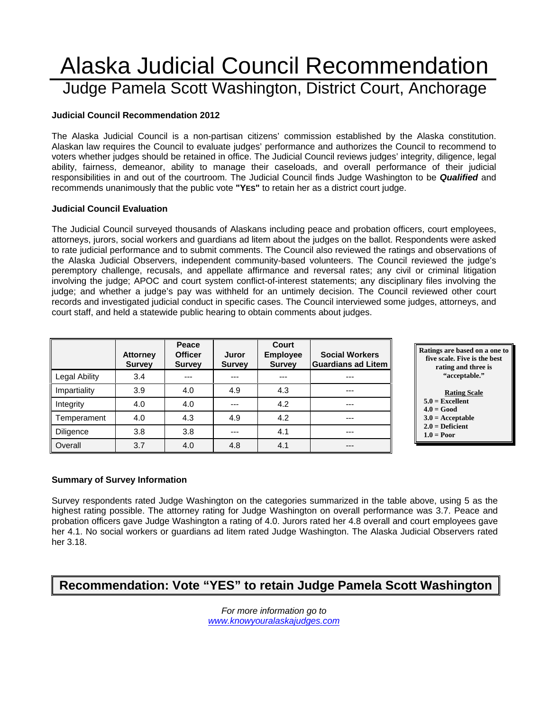## Alaska Judicial Council Recommendation Judge Pamela Scott Washington, District Court, Anchorage

#### **Judicial Council Recommendation 2012**

The Alaska Judicial Council is a non-partisan citizens' commission established by the Alaska constitution. Alaskan law requires the Council to evaluate judges' performance and authorizes the Council to recommend to voters whether judges should be retained in office. The Judicial Council reviews judges' integrity, diligence, legal ability, fairness, demeanor, ability to manage their caseloads, and overall performance of their judicial responsibilities in and out of the courtroom. The Judicial Council finds Judge Washington to be *Qualified* and recommends unanimously that the public vote **"YES"** to retain her as a district court judge.

#### **Judicial Council Evaluation**

The Judicial Council surveyed thousands of Alaskans including peace and probation officers, court employees, attorneys, jurors, social workers and guardians ad litem about the judges on the ballot. Respondents were asked to rate judicial performance and to submit comments. The Council also reviewed the ratings and observations of the Alaska Judicial Observers, independent community-based volunteers. The Council reviewed the judge's peremptory challenge, recusals, and appellate affirmance and reversal rates; any civil or criminal litigation involving the judge; APOC and court system conflict-of-interest statements; any disciplinary files involving the judge; and whether a judge's pay was withheld for an untimely decision. The Council reviewed other court records and investigated judicial conduct in specific cases. The Council interviewed some judges, attorneys, and court staff, and held a statewide public hearing to obtain comments about judges.

|                      | <b>Attorney</b><br><b>Survey</b> | Peace<br><b>Officer</b><br><b>Survey</b> | Juror<br><b>Survey</b> | Court<br><b>Employee</b><br><b>Survey</b> | <b>Social Workers</b><br><b>Guardians ad Litem</b> |
|----------------------|----------------------------------|------------------------------------------|------------------------|-------------------------------------------|----------------------------------------------------|
| <b>Legal Ability</b> | 3.4                              | ---                                      | ---                    | ---                                       | ---                                                |
| Impartiality         | 3.9                              | 4.0                                      | 4.9                    | 4.3                                       | ---                                                |
| Integrity            | 4.0                              | 4.0                                      | ---                    | 4.2                                       | ---                                                |
| Temperament          | 4.0                              | 4.3                                      | 4.9                    | 4.2                                       | ---                                                |
| Diligence            | 3.8                              | 3.8                                      | ---                    | 4.1                                       | $---$                                              |
| Overall              | 3.7                              | 4.0                                      | 4.8                    | 4.1                                       | ---                                                |



 **1.0 = Poor** 

## **Summary of Survey Information**

Survey respondents rated Judge Washington on the categories summarized in the table above, using 5 as the highest rating possible. The attorney rating for Judge Washington on overall performance was 3.7. Peace and probation officers gave Judge Washington a rating of 4.0. Jurors rated her 4.8 overall and court employees gave her 4.1. No social workers or guardians ad litem rated Judge Washington. The Alaska Judicial Observers rated her 3.18.

### **Recommendation: Vote "YES" to retain Judge Pamela Scott Washington**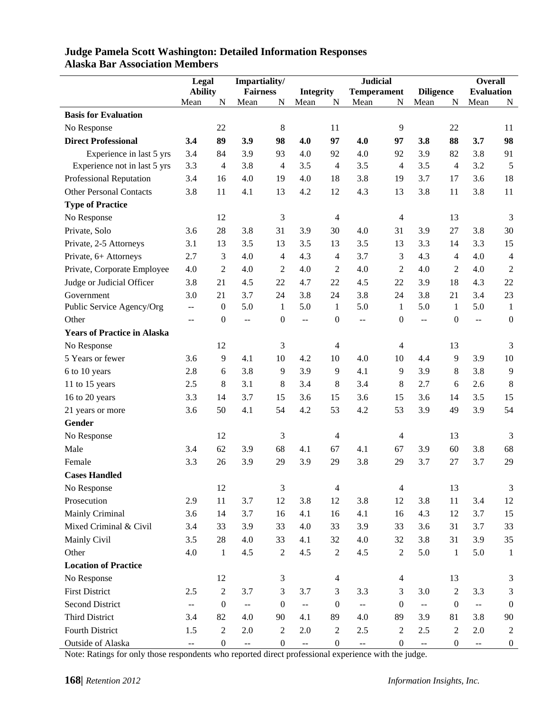|                                    | Legal                                         |                  | Impartiality/             |                  | <b>Judicial</b>          |                  |                          |                    | <b>Overall</b>                                |                  |                         |                  |
|------------------------------------|-----------------------------------------------|------------------|---------------------------|------------------|--------------------------|------------------|--------------------------|--------------------|-----------------------------------------------|------------------|-------------------------|------------------|
|                                    | <b>Ability</b>                                |                  | <b>Fairness</b>           |                  |                          | <b>Integrity</b> |                          | <b>Temperament</b> | <b>Diligence</b>                              |                  | <b>Evaluation</b>       |                  |
|                                    | Mean                                          | N                | Mean                      | N                | Mean                     | N                | Mean                     | N                  | Mean                                          | N                | Mean                    | N                |
| <b>Basis for Evaluation</b>        |                                               |                  |                           |                  |                          |                  |                          |                    |                                               |                  |                         |                  |
| No Response                        |                                               | 22               |                           | 8                |                          | 11               |                          | $\overline{9}$     |                                               | 22               |                         | 11               |
| <b>Direct Professional</b>         | 3.4                                           | 89               | 3.9                       | 98               | 4.0                      | 97               | 4.0                      | 97                 | 3.8                                           | 88               | 3.7                     | 98               |
| Experience in last 5 yrs           | 3.4                                           | 84               | 3.9                       | 93               | 4.0                      | 92               | 4.0                      | 92                 | 3.9                                           | 82               | 3.8                     | 91               |
| Experience not in last 5 yrs       | 3.3                                           | 4                | 3.8                       | 4                | 3.5                      | $\overline{4}$   | 3.5                      | $\overline{4}$     | 3.5                                           | $\overline{4}$   | 3.2                     | 5                |
| Professional Reputation            | 3.4                                           | 16               | 4.0                       | 19               | 4.0                      | 18               | 3.8                      | 19                 | 3.7                                           | 17               | 3.6                     | 18               |
| <b>Other Personal Contacts</b>     | 3.8                                           | 11               | 4.1                       | 13               | 4.2                      | 12               | 4.3                      | 13                 | 3.8                                           | 11               | 3.8                     | 11               |
| <b>Type of Practice</b>            |                                               |                  |                           |                  |                          |                  |                          |                    |                                               |                  |                         |                  |
| No Response                        |                                               | 12               |                           | 3                |                          | $\overline{4}$   |                          | $\overline{4}$     |                                               | 13               |                         | 3                |
| Private, Solo                      | 3.6                                           | 28               | 3.8                       | 31               | 3.9                      | 30               | 4.0                      | 31                 | 3.9                                           | 27               | 3.8                     | 30               |
| Private, 2-5 Attorneys             | 3.1                                           | 13               | 3.5                       | 13               | 3.5                      | 13               | 3.5                      | 13                 | 3.3                                           | 14               | 3.3                     | 15               |
| Private, 6+ Attorneys              | 2.7                                           | 3                | 4.0                       | 4                | 4.3                      | $\overline{4}$   | 3.7                      | 3                  | 4.3                                           | $\overline{4}$   | 4.0                     | $\overline{4}$   |
| Private, Corporate Employee        | 4.0                                           | $\overline{2}$   | 4.0                       | $\overline{2}$   | 4.0                      | 2                | 4.0                      | $\overline{2}$     | 4.0                                           | $\overline{2}$   | 4.0                     | $\overline{2}$   |
| Judge or Judicial Officer          | 3.8                                           | 21               | 4.5                       | 22               | 4.7                      | 22               | 4.5                      | 22                 | 3.9                                           | 18               | 4.3                     | 22               |
| Government                         | 3.0                                           | 21               | 3.7                       | 24               | 3.8                      | 24               | 3.8                      | 24                 | 3.8                                           | 21               | 3.4                     | 23               |
| Public Service Agency/Org          | $-$                                           | $\boldsymbol{0}$ | 5.0                       | 1                | 5.0                      | 1                | 5.0                      | -1                 | 5.0                                           | 1                | 5.0                     | $\mathbf{1}$     |
| Other                              | $\overline{a}$                                | $\boldsymbol{0}$ | $\overline{\phantom{a}}$  | $\boldsymbol{0}$ | $\overline{\phantom{a}}$ | $\boldsymbol{0}$ | --                       | $\boldsymbol{0}$   | $\pm$ $\pm$                                   | $\boldsymbol{0}$ | --                      | $\boldsymbol{0}$ |
| <b>Years of Practice in Alaska</b> |                                               |                  |                           |                  |                          |                  |                          |                    |                                               |                  |                         |                  |
| No Response                        |                                               | 12               |                           | 3                |                          | $\overline{4}$   |                          | $\overline{4}$     |                                               | 13               |                         | 3                |
| 5 Years or fewer                   | 3.6                                           | 9                | 4.1                       | 10               | 4.2                      | 10               | 4.0                      | 10                 | 4.4                                           | 9                | 3.9                     | 10               |
| 6 to 10 years                      | 2.8                                           | 6                | 3.8                       | 9                | 3.9                      | 9                | 4.1                      | 9                  | 3.9                                           | 8                | 3.8                     | 9                |
| 11 to 15 years                     | 2.5                                           | 8                | 3.1                       | 8                | 3.4                      | 8                | 3.4                      | $\,8\,$            | 2.7                                           | 6                | 2.6                     | $\,8\,$          |
| 16 to 20 years                     | 3.3                                           | 14               | 3.7                       | 15               | 3.6                      | 15               | 3.6                      | 15                 | 3.6                                           | 14               | 3.5                     | 15               |
| 21 years or more                   | 3.6                                           | 50               | 4.1                       | 54               | 4.2                      | 53               | 4.2                      | 53                 | 3.9                                           | 49               | 3.9                     | 54               |
| Gender                             |                                               |                  |                           |                  |                          |                  |                          |                    |                                               |                  |                         |                  |
| No Response                        |                                               | 12               |                           | 3                |                          | 4                |                          | $\overline{4}$     |                                               | 13               |                         | 3                |
| Male                               | 3.4                                           | 62               | 3.9                       | 68               | 4.1                      | 67               | 4.1                      | 67                 | 3.9                                           | 60               | 3.8                     | 68               |
| Female                             | 3.3                                           | 26               | 3.9                       | 29               | 3.9                      | 29               | 3.8                      | 29                 | 3.7                                           | 27               | 3.7                     | 29               |
| <b>Cases Handled</b>               |                                               |                  |                           |                  |                          |                  |                          |                    |                                               |                  |                         |                  |
| No Response                        |                                               | 12               |                           | 3                |                          | $\overline{4}$   |                          | $\overline{4}$     |                                               | 13               |                         | 3                |
| Prosecution                        | 2.9                                           | 11               | 3.7                       | 12               | 3.8                      | 12               | 3.8                      | 12                 | 3.8                                           | 11               | 3.4                     | 12               |
| Mainly Criminal                    | 3.6                                           | 14               | 3.7                       | 16               | 4.1                      | 16               | 4.1                      | 16                 | 4.3                                           | 12               | 3.7                     | 15               |
| Mixed Criminal & Civil             | 3.4                                           | 33               | 3.9                       | 33               | 4.0                      | 33               | 3.9                      | 33                 | 3.6                                           | 31               | 3.7                     | 33               |
| Mainly Civil                       | 3.5                                           | 28               | 4.0                       | 33               | 4.1                      | 32               | 4.0                      | 32                 | 3.8                                           | 31               | 3.9                     | 35               |
| Other                              | 4.0                                           | $\mathbf{1}$     | 4.5                       | $\sqrt{2}$       | 4.5                      | $\overline{c}$   | 4.5                      | $\boldsymbol{2}$   | 5.0                                           | $\mathbf{1}$     | 5.0                     | $\mathbf{1}$     |
| <b>Location of Practice</b>        |                                               |                  |                           |                  |                          |                  |                          |                    |                                               |                  |                         |                  |
| No Response                        |                                               | 12               |                           | $\mathfrak{Z}$   |                          | $\overline{4}$   |                          | $\overline{4}$     |                                               | 13               |                         | 3                |
| <b>First District</b>              | 2.5                                           | $\sqrt{2}$       | 3.7                       | 3                | 3.7                      | 3                | 3.3                      | 3                  | 3.0                                           | $\overline{2}$   | 3.3                     | 3                |
| <b>Second District</b>             | $\mathbb{L}^{\perp}$                          | $\boldsymbol{0}$ | $\mathbb{L}^{\mathbb{L}}$ | $\boldsymbol{0}$ | $\overline{\phantom{a}}$ | $\boldsymbol{0}$ | $\overline{a}$           | $\boldsymbol{0}$   | ц.                                            | $\boldsymbol{0}$ | Ц.                      | $\boldsymbol{0}$ |
| Third District                     | 3.4                                           | 82               | 4.0                       | 90               | 4.1                      | 89               | 4.0                      | 89                 | 3.9                                           | 81               | 3.8                     | 90               |
| Fourth District                    | 1.5                                           | $\boldsymbol{2}$ | 2.0                       | $\boldsymbol{2}$ | 2.0                      | 2                | 2.5                      | $\overline{2}$     | 2.5                                           | $\overline{2}$   | 2.0                     | $\overline{2}$   |
| Outside of Alaska                  | $\mathord{\hspace{1pt}\text{--}\hspace{1pt}}$ | $\boldsymbol{0}$ | $\mathbb{H}^2$            | $\boldsymbol{0}$ | $\overline{\phantom{a}}$ | $\boldsymbol{0}$ | $\overline{\phantom{a}}$ | $\boldsymbol{0}$   | $\mathord{\hspace{1pt}\text{--}\hspace{1pt}}$ | $\boldsymbol{0}$ | $\mathbb{L} \mathbb{L}$ | $\boldsymbol{0}$ |

#### **Judge Pamela Scott Washington: Detailed Information Responses Alaska Bar Association Members**

Note: Ratings for only those respondents who reported direct professional experience with the judge.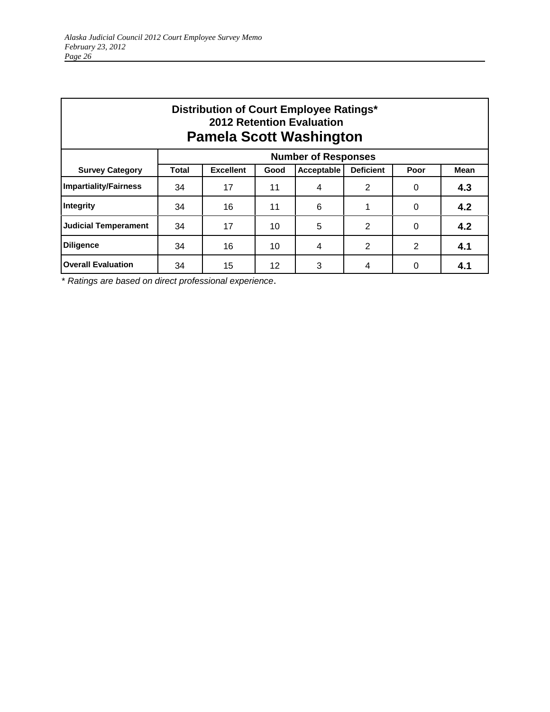| Distribution of Court Employee Ratings*<br><b>2012 Retention Evaluation</b><br><b>Pamela Scott Washington</b> |                            |                  |      |                |                  |      |             |  |  |  |
|---------------------------------------------------------------------------------------------------------------|----------------------------|------------------|------|----------------|------------------|------|-------------|--|--|--|
|                                                                                                               | <b>Number of Responses</b> |                  |      |                |                  |      |             |  |  |  |
| <b>Survey Category</b>                                                                                        | Total                      | <b>Excellent</b> | Good | Acceptable     | <b>Deficient</b> | Poor | <b>Mean</b> |  |  |  |
| <b>Impartiality/Fairness</b>                                                                                  | 34                         | 17               | 11   | $\overline{4}$ | 2                | 0    | 4.3         |  |  |  |
| Integrity                                                                                                     | 34                         | 16               | 11   | 6              | 1                | 0    | 4.2         |  |  |  |
| <b>Judicial Temperament</b>                                                                                   | 34                         | 17               | 10   | 5              | 2                | 0    | 4.2         |  |  |  |
| <b>Diligence</b>                                                                                              | 34                         | 16               | 10   | 4              | 2                | 2    | 4.1         |  |  |  |
| <b>Overall Evaluation</b>                                                                                     | 34                         | 15               | 12   | 3              | 4                | 0    | 4.1         |  |  |  |

\* *Ratings are based on direct professional experience*.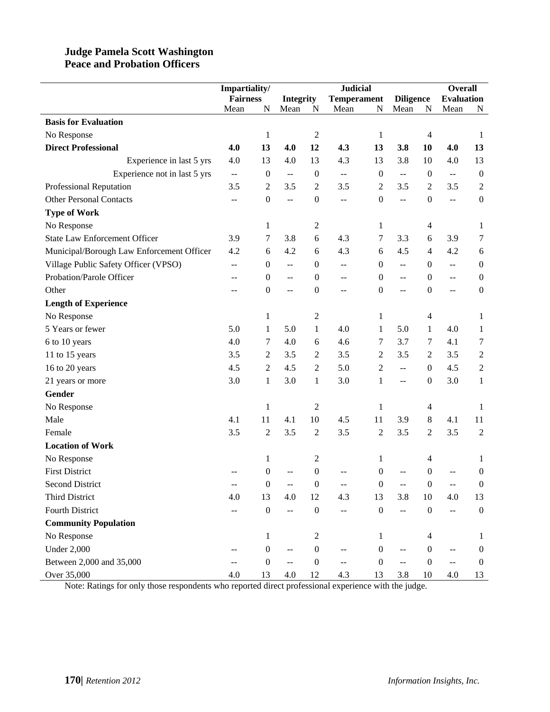#### **Judge Pamela Scott Washington Peace and Probation Officers**

|                                           | Impartiality/   |                  |                                               |                  | <b>Judicial</b>          |                  |                                               | <b>Overall</b>   |                                               |                  |
|-------------------------------------------|-----------------|------------------|-----------------------------------------------|------------------|--------------------------|------------------|-----------------------------------------------|------------------|-----------------------------------------------|------------------|
|                                           | <b>Fairness</b> |                  | <b>Integrity</b>                              |                  | <b>Temperament</b>       |                  | <b>Diligence</b>                              |                  | <b>Evaluation</b>                             |                  |
|                                           | Mean            | N                | Mean                                          | N                | Mean                     | N                | Mean                                          | N                | Mean                                          | N                |
| <b>Basis for Evaluation</b>               |                 |                  |                                               |                  |                          |                  |                                               |                  |                                               |                  |
| No Response                               |                 | $\mathbf{1}$     |                                               | $\boldsymbol{2}$ |                          | $\mathbf{1}$     |                                               | $\overline{4}$   |                                               | 1                |
| <b>Direct Professional</b>                | 4.0             | 13               | 4.0                                           | 12               | 4.3                      | 13               | 3.8                                           | 10               | 4.0                                           | 13               |
| Experience in last 5 yrs                  | 4.0             | 13               | 4.0                                           | 13               | 4.3                      | 13               | 3.8                                           | 10               | 4.0                                           | 13               |
| Experience not in last 5 yrs              | $\overline{a}$  | $\boldsymbol{0}$ | $\overline{\phantom{a}}$                      | $\boldsymbol{0}$ | $\overline{\phantom{a}}$ | $\boldsymbol{0}$ | $\mathord{\hspace{1pt}\text{--}\hspace{1pt}}$ | $\mathbf{0}$     | $\mathord{\hspace{1pt}\text{--}\hspace{1pt}}$ | $\boldsymbol{0}$ |
| Professional Reputation                   | 3.5             | 2                | 3.5                                           | $\overline{2}$   | 3.5                      | 2                | 3.5                                           | 2                | 3.5                                           | $\overline{2}$   |
| <b>Other Personal Contacts</b>            | --              | $\boldsymbol{0}$ | $\overline{\phantom{m}}$                      | $\boldsymbol{0}$ | $- -$                    | $\boldsymbol{0}$ | $\overline{a}$                                | $\boldsymbol{0}$ | $\overline{\phantom{a}}$                      | $\boldsymbol{0}$ |
| <b>Type of Work</b>                       |                 |                  |                                               |                  |                          |                  |                                               |                  |                                               |                  |
| No Response                               |                 | $\mathbf{1}$     |                                               | $\boldsymbol{2}$ |                          | 1                |                                               | $\overline{4}$   |                                               | 1                |
| <b>State Law Enforcement Officer</b>      | 3.9             | 7                | 3.8                                           | 6                | 4.3                      | 7                | 3.3                                           | 6                | 3.9                                           | 7                |
| Municipal/Borough Law Enforcement Officer | 4.2             | 6                | 4.2                                           | 6                | 4.3                      | 6                | 4.5                                           | $\overline{4}$   | 4.2                                           | 6                |
| Village Public Safety Officer (VPSO)      | --              | $\boldsymbol{0}$ | $\overline{\phantom{m}}$                      | $\boldsymbol{0}$ | $\overline{a}$           | $\mathbf{0}$     | $-$                                           | $\boldsymbol{0}$ | $\mathbb{L}^{\mathbb{L}}$                     | $\boldsymbol{0}$ |
| Probation/Parole Officer                  | $-$             | $\boldsymbol{0}$ | $\overline{\phantom{a}}$                      | $\boldsymbol{0}$ | --                       | $\boldsymbol{0}$ | $\overline{a}$                                | $\boldsymbol{0}$ | $\overline{a}$                                | $\boldsymbol{0}$ |
| Other                                     |                 | $\boldsymbol{0}$ | $\overline{a}$                                | $\boldsymbol{0}$ | --                       | $\theta$         | --                                            | $\boldsymbol{0}$ | $\overline{a}$                                | $\boldsymbol{0}$ |
| <b>Length of Experience</b>               |                 |                  |                                               |                  |                          |                  |                                               |                  |                                               |                  |
| No Response                               |                 | 1                |                                               | $\boldsymbol{2}$ |                          | 1                |                                               | $\overline{4}$   |                                               | 1                |
| 5 Years or fewer                          | 5.0             | $\mathbf{1}$     | 5.0                                           | $\mathbf{1}$     | 4.0                      | 1                | 5.0                                           | 1                | 4.0                                           | $\mathbf{1}$     |
| 6 to 10 years                             | 4.0             | 7                | 4.0                                           | 6                | 4.6                      | 7                | 3.7                                           | 7                | 4.1                                           | $\tau$           |
| 11 to 15 years                            | 3.5             | 2                | 3.5                                           | $\boldsymbol{2}$ | 3.5                      | 2                | 3.5                                           | $\mathfrak{2}$   | 3.5                                           | $\sqrt{2}$       |
| 16 to 20 years                            | 4.5             | $\overline{2}$   | 4.5                                           | $\boldsymbol{2}$ | 5.0                      | 2                | $\mathbb{L}^{\mathbb{L}}$                     | $\Omega$         | 4.5                                           | $\boldsymbol{2}$ |
| 21 years or more                          | 3.0             | $\mathbf{1}$     | 3.0                                           | $\mathbf{1}$     | 3.0                      | 1                | $\overline{a}$                                | $\boldsymbol{0}$ | 3.0                                           | $\mathbf{1}$     |
| Gender                                    |                 |                  |                                               |                  |                          |                  |                                               |                  |                                               |                  |
| No Response                               |                 | $\mathbf{1}$     |                                               | $\boldsymbol{2}$ |                          | 1                |                                               | 4                |                                               | 1                |
| Male                                      | 4.1             | 11               | 4.1                                           | 10               | 4.5                      | 11               | 3.9                                           | $\,8\,$          | 4.1                                           | 11               |
| Female                                    | 3.5             | $\overline{c}$   | 3.5                                           | $\sqrt{2}$       | 3.5                      | 2                | 3.5                                           | $\overline{2}$   | 3.5                                           | $\overline{2}$   |
| <b>Location of Work</b>                   |                 |                  |                                               |                  |                          |                  |                                               |                  |                                               |                  |
| No Response                               |                 | $\mathbf{1}$     |                                               | $\boldsymbol{2}$ |                          | 1                |                                               | $\overline{4}$   |                                               | 1                |
| <b>First District</b>                     |                 | 0                |                                               | $\boldsymbol{0}$ |                          | 0                |                                               | $\boldsymbol{0}$ |                                               | $\boldsymbol{0}$ |
| <b>Second District</b>                    |                 | 0                |                                               | $\boldsymbol{0}$ |                          | $\boldsymbol{0}$ |                                               | $\boldsymbol{0}$ |                                               | $\boldsymbol{0}$ |
| Third District                            | 4.0             | 13               | 4.0                                           | 12               | 4.3                      | 13               | 3.8                                           | 10               | 4.0                                           | 13               |
| <b>Fourth District</b>                    |                 | $\boldsymbol{0}$ | $\overline{\phantom{a}}$                      | $\boldsymbol{0}$ | --                       | $\boldsymbol{0}$ | $\mathbb{L}^{\mathbb{L}}$                     | $\boldsymbol{0}$ | $-$                                           | $\boldsymbol{0}$ |
| <b>Community Population</b>               |                 |                  |                                               |                  |                          |                  |                                               |                  |                                               |                  |
| No Response                               |                 | $\mathbf{1}$     |                                               | $\boldsymbol{2}$ |                          | 1                |                                               | 4                |                                               | 1                |
| <b>Under 2,000</b>                        |                 | $\boldsymbol{0}$ | --                                            | $\boldsymbol{0}$ |                          | $\boldsymbol{0}$ |                                               | $\boldsymbol{0}$ |                                               | $\boldsymbol{0}$ |
| Between 2,000 and 35,000                  | $-$             | $\boldsymbol{0}$ | $\mathord{\hspace{1pt}\text{--}\hspace{1pt}}$ | $\boldsymbol{0}$ | --                       | $\boldsymbol{0}$ | $\overline{a}$                                | $\boldsymbol{0}$ | $\overline{\phantom{a}}$                      | $\boldsymbol{0}$ |
| Over 35,000                               | 4.0             | 13               | 4.0                                           | 12               | 4.3                      | 13               | 3.8                                           | 10               | 4.0                                           | 13               |

Note: Ratings for only those respondents who reported direct professional experience with the judge.